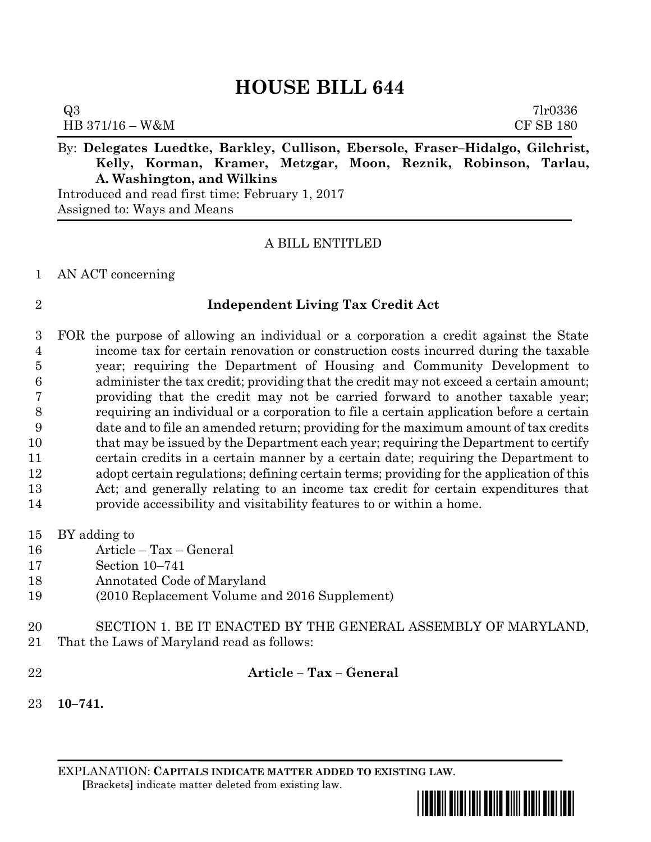# **HOUSE BILL 644**

| Q3                                                                             | 71r0336          |
|--------------------------------------------------------------------------------|------------------|
| $HB 371/16 - W\&M$                                                             | <b>CF SB 180</b> |
| By: Delegates Luedtke, Barkley, Cullison, Ebersole, Fraser-Hidalgo, Gilchrist, |                  |

By: **Delegates Luedtke, Barkley, Cullison, Ebersole, Fraser–Hidalgo, Gilchrist, Kelly, Korman, Kramer, Metzgar, Moon, Reznik, Robinson, Tarlau, A. Washington, and Wilkins**

Introduced and read first time: February 1, 2017 Assigned to: Ways and Means

# A BILL ENTITLED

### AN ACT concerning

# **Independent Living Tax Credit Act**

 FOR the purpose of allowing an individual or a corporation a credit against the State income tax for certain renovation or construction costs incurred during the taxable year; requiring the Department of Housing and Community Development to administer the tax credit; providing that the credit may not exceed a certain amount; providing that the credit may not be carried forward to another taxable year; requiring an individual or a corporation to file a certain application before a certain date and to file an amended return; providing for the maximum amount of tax credits 10 that may be issued by the Department each year; requiring the Department to certify certain credits in a certain manner by a certain date; requiring the Department to adopt certain regulations; defining certain terms; providing for the application of this Act; and generally relating to an income tax credit for certain expenditures that provide accessibility and visitability features to or within a home.

- BY adding to
- Article Tax General
- Section 10–741
- Annotated Code of Maryland
- (2010 Replacement Volume and 2016 Supplement)
- SECTION 1. BE IT ENACTED BY THE GENERAL ASSEMBLY OF MARYLAND,
- That the Laws of Maryland read as follows:
- 

**Article – Tax – General**

**10–741.**

EXPLANATION: **CAPITALS INDICATE MATTER ADDED TO EXISTING LAW**.  **[**Brackets**]** indicate matter deleted from existing law.

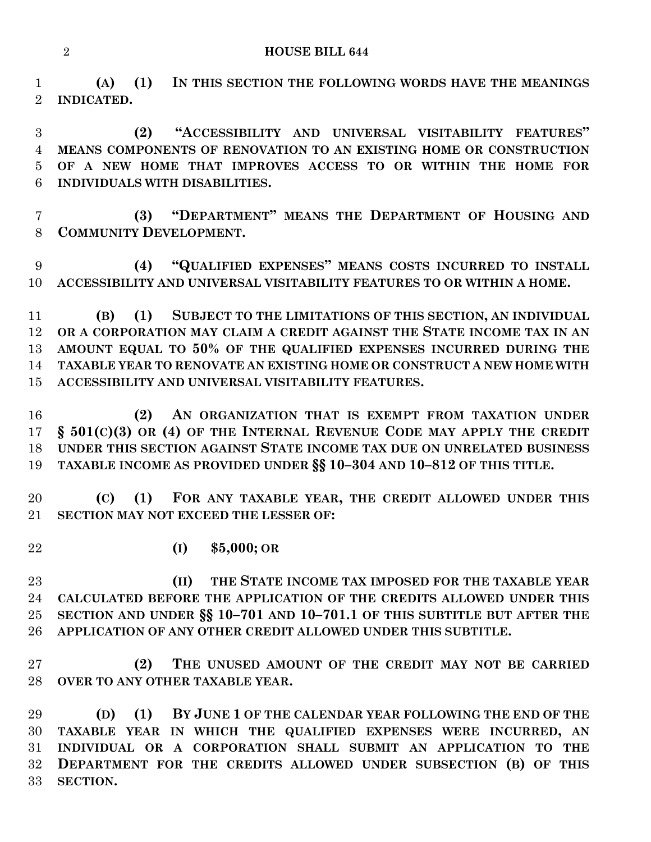**HOUSE BILL 644**

 **(A) (1) IN THIS SECTION THE FOLLOWING WORDS HAVE THE MEANINGS INDICATED.**

 **(2) "ACCESSIBILITY AND UNIVERSAL VISITABILITY FEATURES" MEANS COMPONENTS OF RENOVATION TO AN EXISTING HOME OR CONSTRUCTION OF A NEW HOME THAT IMPROVES ACCESS TO OR WITHIN THE HOME FOR INDIVIDUALS WITH DISABILITIES.**

 **(3) "DEPARTMENT" MEANS THE DEPARTMENT OF HOUSING AND COMMUNITY DEVELOPMENT.**

 **(4) "QUALIFIED EXPENSES" MEANS COSTS INCURRED TO INSTALL ACCESSIBILITY AND UNIVERSAL VISITABILITY FEATURES TO OR WITHIN A HOME.**

 **(B) (1) SUBJECT TO THE LIMITATIONS OF THIS SECTION, AN INDIVIDUAL OR A CORPORATION MAY CLAIM A CREDIT AGAINST THE STATE INCOME TAX IN AN AMOUNT EQUAL TO 50% OF THE QUALIFIED EXPENSES INCURRED DURING THE TAXABLE YEAR TO RENOVATE AN EXISTING HOME OR CONSTRUCT A NEW HOME WITH ACCESSIBILITY AND UNIVERSAL VISITABILITY FEATURES.**

 **(2) AN ORGANIZATION THAT IS EXEMPT FROM TAXATION UNDER § 501(C)(3) OR (4) OF THE INTERNAL REVENUE CODE MAY APPLY THE CREDIT UNDER THIS SECTION AGAINST STATE INCOME TAX DUE ON UNRELATED BUSINESS TAXABLE INCOME AS PROVIDED UNDER §§ 10–304 AND 10–812 OF THIS TITLE.**

 **(C) (1) FOR ANY TAXABLE YEAR, THE CREDIT ALLOWED UNDER THIS SECTION MAY NOT EXCEED THE LESSER OF:**

**(I) \$5,000; OR**

 **(II) THE STATE INCOME TAX IMPOSED FOR THE TAXABLE YEAR CALCULATED BEFORE THE APPLICATION OF THE CREDITS ALLOWED UNDER THIS SECTION AND UNDER §§ 10–701 AND 10–701.1 OF THIS SUBTITLE BUT AFTER THE APPLICATION OF ANY OTHER CREDIT ALLOWED UNDER THIS SUBTITLE.**

 **(2) THE UNUSED AMOUNT OF THE CREDIT MAY NOT BE CARRIED OVER TO ANY OTHER TAXABLE YEAR.**

 **(D) (1) BY JUNE 1 OF THE CALENDAR YEAR FOLLOWING THE END OF THE TAXABLE YEAR IN WHICH THE QUALIFIED EXPENSES WERE INCURRED, AN INDIVIDUAL OR A CORPORATION SHALL SUBMIT AN APPLICATION TO THE DEPARTMENT FOR THE CREDITS ALLOWED UNDER SUBSECTION (B) OF THIS SECTION.**